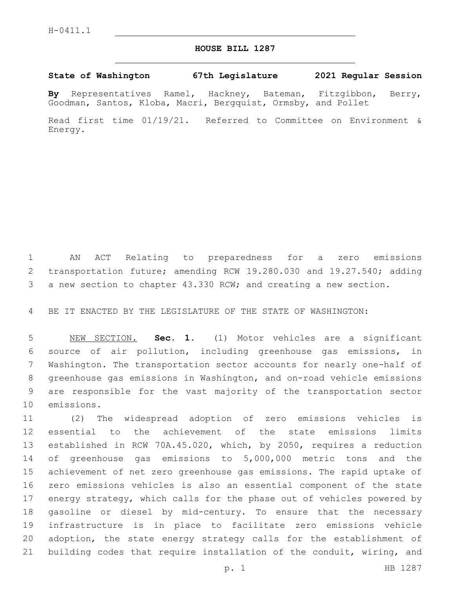## **HOUSE BILL 1287**

## **State of Washington 67th Legislature 2021 Regular Session**

**By** Representatives Ramel, Hackney, Bateman, Fitzgibbon, Berry, Goodman, Santos, Kloba, Macri, Bergquist, Ormsby, and Pollet

Read first time 01/19/21. Referred to Committee on Environment & Energy.

 AN ACT Relating to preparedness for a zero emissions transportation future; amending RCW 19.280.030 and 19.27.540; adding a new section to chapter 43.330 RCW; and creating a new section.

BE IT ENACTED BY THE LEGISLATURE OF THE STATE OF WASHINGTON:

 NEW SECTION. **Sec. 1.** (1) Motor vehicles are a significant source of air pollution, including greenhouse gas emissions, in Washington. The transportation sector accounts for nearly one-half of greenhouse gas emissions in Washington, and on-road vehicle emissions are responsible for the vast majority of the transportation sector emissions.

 (2) The widespread adoption of zero emissions vehicles is essential to the achievement of the state emissions limits established in RCW 70A.45.020, which, by 2050, requires a reduction of greenhouse gas emissions to 5,000,000 metric tons and the achievement of net zero greenhouse gas emissions. The rapid uptake of zero emissions vehicles is also an essential component of the state energy strategy, which calls for the phase out of vehicles powered by gasoline or diesel by mid-century. To ensure that the necessary infrastructure is in place to facilitate zero emissions vehicle adoption, the state energy strategy calls for the establishment of building codes that require installation of the conduit, wiring, and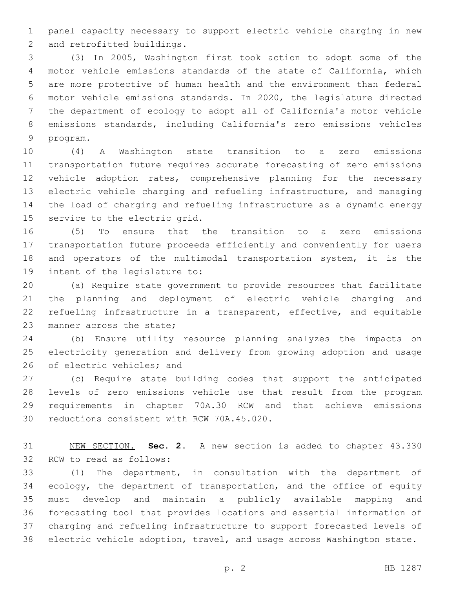panel capacity necessary to support electric vehicle charging in new 2 and retrofitted buildings.

 (3) In 2005, Washington first took action to adopt some of the motor vehicle emissions standards of the state of California, which are more protective of human health and the environment than federal motor vehicle emissions standards. In 2020, the legislature directed the department of ecology to adopt all of California's motor vehicle emissions standards, including California's zero emissions vehicles 9 program.

 (4) A Washington state transition to a zero emissions transportation future requires accurate forecasting of zero emissions vehicle adoption rates, comprehensive planning for the necessary electric vehicle charging and refueling infrastructure, and managing the load of charging and refueling infrastructure as a dynamic energy 15 service to the electric grid.

 (5) To ensure that the transition to a zero emissions transportation future proceeds efficiently and conveniently for users and operators of the multimodal transportation system, it is the 19 intent of the legislature to:

 (a) Require state government to provide resources that facilitate the planning and deployment of electric vehicle charging and refueling infrastructure in a transparent, effective, and equitable 23 manner across the state;

 (b) Ensure utility resource planning analyzes the impacts on electricity generation and delivery from growing adoption and usage 26 of electric vehicles; and

 (c) Require state building codes that support the anticipated levels of zero emissions vehicle use that result from the program requirements in chapter 70A.30 RCW and that achieve emissions 30 reductions consistent with RCW 70A.45.020.

 NEW SECTION. **Sec. 2.** A new section is added to chapter 43.330 32 RCW to read as follows:

 (1) The department, in consultation with the department of ecology, the department of transportation, and the office of equity must develop and maintain a publicly available mapping and forecasting tool that provides locations and essential information of charging and refueling infrastructure to support forecasted levels of electric vehicle adoption, travel, and usage across Washington state.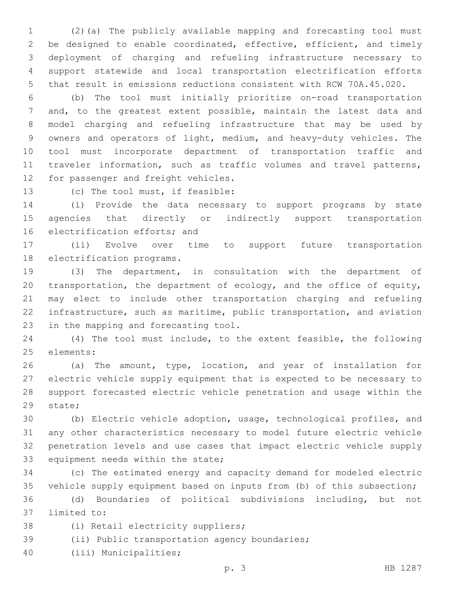(2)(a) The publicly available mapping and forecasting tool must be designed to enable coordinated, effective, efficient, and timely deployment of charging and refueling infrastructure necessary to support statewide and local transportation electrification efforts that result in emissions reductions consistent with RCW 70A.45.020.

 (b) The tool must initially prioritize on-road transportation and, to the greatest extent possible, maintain the latest data and model charging and refueling infrastructure that may be used by owners and operators of light, medium, and heavy-duty vehicles. The tool must incorporate department of transportation traffic and traveler information, such as traffic volumes and travel patterns, 12 for passenger and freight vehicles.

13 (c) The tool must, if feasible:

 (i) Provide the data necessary to support programs by state agencies that directly or indirectly support transportation 16 electrification efforts; and

 (ii) Evolve over time to support future transportation 18 electrification programs.

 (3) The department, in consultation with the department of transportation, the department of ecology, and the office of equity, may elect to include other transportation charging and refueling infrastructure, such as maritime, public transportation, and aviation 23 in the mapping and forecasting tool.

 (4) The tool must include, to the extent feasible, the following 25 elements:

 (a) The amount, type, location, and year of installation for electric vehicle supply equipment that is expected to be necessary to support forecasted electric vehicle penetration and usage within the 29 state;

 (b) Electric vehicle adoption, usage, technological profiles, and any other characteristics necessary to model future electric vehicle penetration levels and use cases that impact electric vehicle supply 33 equipment needs within the state;

 (c) The estimated energy and capacity demand for modeled electric vehicle supply equipment based on inputs from (b) of this subsection;

 (d) Boundaries of political subdivisions including, but not 37 limited to:

38 (i) Retail electricity suppliers;

39 (ii) Public transportation agency boundaries;

40 (iii) Municipalities;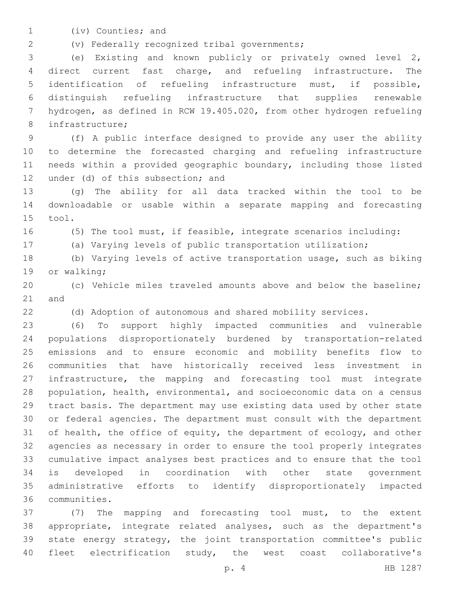1 (iv) Counties; and

(v) Federally recognized tribal governments;2

 (e) Existing and known publicly or privately owned level 2, direct current fast charge, and refueling infrastructure. The identification of refueling infrastructure must, if possible, distinguish refueling infrastructure that supplies renewable hydrogen, as defined in RCW 19.405.020, from other hydrogen refueling 8 infrastructure;

 (f) A public interface designed to provide any user the ability to determine the forecasted charging and refueling infrastructure needs within a provided geographic boundary, including those listed 12 under (d) of this subsection; and

 (g) The ability for all data tracked within the tool to be downloadable or usable within a separate mapping and forecasting 15 tool.

(5) The tool must, if feasible, integrate scenarios including:

(a) Varying levels of public transportation utilization;

 (b) Varying levels of active transportation usage, such as biking 19 or walking;

 (c) Vehicle miles traveled amounts above and below the baseline; 21 and

(d) Adoption of autonomous and shared mobility services.

 (6) To support highly impacted communities and vulnerable populations disproportionately burdened by transportation-related emissions and to ensure economic and mobility benefits flow to communities that have historically received less investment in infrastructure, the mapping and forecasting tool must integrate population, health, environmental, and socioeconomic data on a census tract basis. The department may use existing data used by other state or federal agencies. The department must consult with the department 31 of health, the office of equity, the department of ecology, and other agencies as necessary in order to ensure the tool properly integrates cumulative impact analyses best practices and to ensure that the tool is developed in coordination with other state government administrative efforts to identify disproportionately impacted communities.36

 (7) The mapping and forecasting tool must, to the extent appropriate, integrate related analyses, such as the department's state energy strategy, the joint transportation committee's public fleet electrification study, the west coast collaborative's

p. 4 HB 1287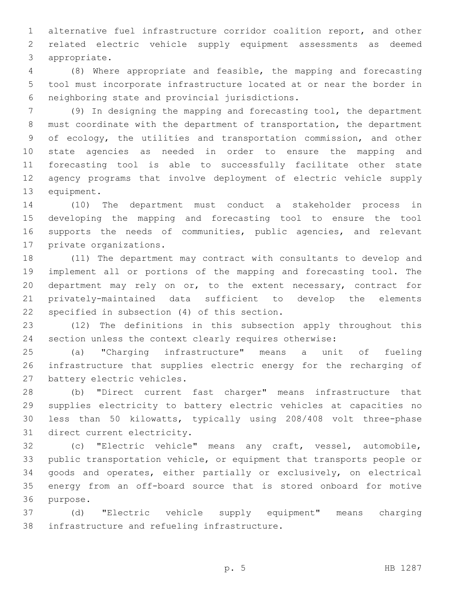alternative fuel infrastructure corridor coalition report, and other related electric vehicle supply equipment assessments as deemed 3 appropriate.

 (8) Where appropriate and feasible, the mapping and forecasting tool must incorporate infrastructure located at or near the border in neighboring state and provincial jurisdictions.6

 (9) In designing the mapping and forecasting tool, the department must coordinate with the department of transportation, the department of ecology, the utilities and transportation commission, and other state agencies as needed in order to ensure the mapping and forecasting tool is able to successfully facilitate other state agency programs that involve deployment of electric vehicle supply 13 equipment.

 (10) The department must conduct a stakeholder process in developing the mapping and forecasting tool to ensure the tool supports the needs of communities, public agencies, and relevant 17 private organizations.

 (11) The department may contract with consultants to develop and implement all or portions of the mapping and forecasting tool. The department may rely on or, to the extent necessary, contract for privately-maintained data sufficient to develop the elements 22 specified in subsection (4) of this section.

 (12) The definitions in this subsection apply throughout this section unless the context clearly requires otherwise:

 (a) "Charging infrastructure" means a unit of fueling infrastructure that supplies electric energy for the recharging of 27 battery electric vehicles.

 (b) "Direct current fast charger" means infrastructure that supplies electricity to battery electric vehicles at capacities no less than 50 kilowatts, typically using 208/408 volt three-phase 31 direct current electricity.

 (c) "Electric vehicle" means any craft, vessel, automobile, public transportation vehicle, or equipment that transports people or goods and operates, either partially or exclusively, on electrical energy from an off-board source that is stored onboard for motive 36 purpose.

 (d) "Electric vehicle supply equipment" means charging 38 infrastructure and refueling infrastructure.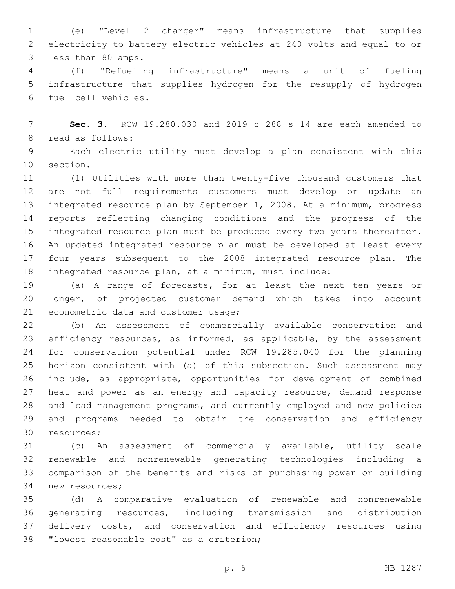(e) "Level 2 charger" means infrastructure that supplies electricity to battery electric vehicles at 240 volts and equal to or 3 less than 80 amps.

 (f) "Refueling infrastructure" means a unit of fueling infrastructure that supplies hydrogen for the resupply of hydrogen fuel cell vehicles.6

 **Sec. 3.** RCW 19.280.030 and 2019 c 288 s 14 are each amended to 8 read as follows:

 Each electric utility must develop a plan consistent with this 10 section.

 (1) Utilities with more than twenty-five thousand customers that are not full requirements customers must develop or update an integrated resource plan by September 1, 2008. At a minimum, progress reports reflecting changing conditions and the progress of the integrated resource plan must be produced every two years thereafter. An updated integrated resource plan must be developed at least every four years subsequent to the 2008 integrated resource plan. The integrated resource plan, at a minimum, must include:

 (a) A range of forecasts, for at least the next ten years or longer, of projected customer demand which takes into account 21 econometric data and customer usage;

 (b) An assessment of commercially available conservation and efficiency resources, as informed, as applicable, by the assessment for conservation potential under RCW 19.285.040 for the planning horizon consistent with (a) of this subsection. Such assessment may include, as appropriate, opportunities for development of combined 27 heat and power as an energy and capacity resource, demand response and load management programs, and currently employed and new policies and programs needed to obtain the conservation and efficiency 30 resources;

 (c) An assessment of commercially available, utility scale renewable and nonrenewable generating technologies including a comparison of the benefits and risks of purchasing power or building 34 new resources;

 (d) A comparative evaluation of renewable and nonrenewable generating resources, including transmission and distribution delivery costs, and conservation and efficiency resources using 38 "lowest reasonable cost" as a criterion;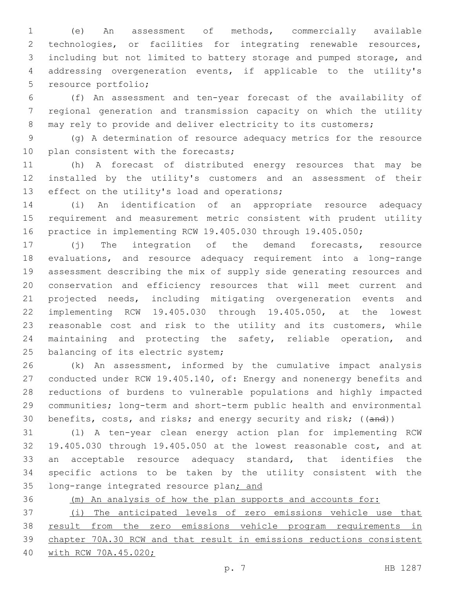(e) An assessment of methods, commercially available technologies, or facilities for integrating renewable resources, including but not limited to battery storage and pumped storage, and addressing overgeneration events, if applicable to the utility's 5 resource portfolio;

 (f) An assessment and ten-year forecast of the availability of regional generation and transmission capacity on which the utility 8 may rely to provide and deliver electricity to its customers;

 (g) A determination of resource adequacy metrics for the resource 10 plan consistent with the forecasts;

 (h) A forecast of distributed energy resources that may be installed by the utility's customers and an assessment of their 13 effect on the utility's load and operations;

 (i) An identification of an appropriate resource adequacy requirement and measurement metric consistent with prudent utility practice in implementing RCW 19.405.030 through 19.405.050;

 (j) The integration of the demand forecasts, resource evaluations, and resource adequacy requirement into a long-range assessment describing the mix of supply side generating resources and conservation and efficiency resources that will meet current and projected needs, including mitigating overgeneration events and implementing RCW 19.405.030 through 19.405.050, at the lowest reasonable cost and risk to the utility and its customers, while maintaining and protecting the safety, reliable operation, and 25 balancing of its electric system;

 (k) An assessment, informed by the cumulative impact analysis conducted under RCW 19.405.140, of: Energy and nonenergy benefits and reductions of burdens to vulnerable populations and highly impacted communities; long-term and short-term public health and environmental 30 benefits, costs, and risks; and energy security and risk; ((and))

 (l) A ten-year clean energy action plan for implementing RCW 19.405.030 through 19.405.050 at the lowest reasonable cost, and at an acceptable resource adequacy standard, that identifies the specific actions to be taken by the utility consistent with the 35 long-range integrated resource plan; and

(m) An analysis of how the plan supports and accounts for:

 (i) The anticipated levels of zero emissions vehicle use that result from the zero emissions vehicle program requirements in chapter 70A.30 RCW and that result in emissions reductions consistent with RCW 70A.45.020;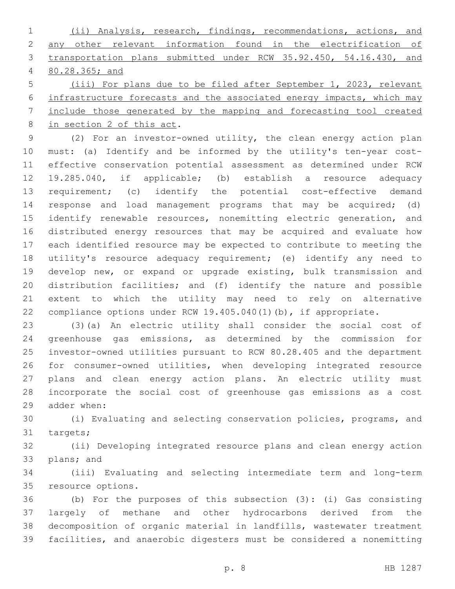(ii) Analysis, research, findings, recommendations, actions, and any other relevant information found in the electrification of transportation plans submitted under RCW 35.92.450, 54.16.430, and 80.28.365; and

 (iii) For plans due to be filed after September 1, 2023, relevant infrastructure forecasts and the associated energy impacts, which may include those generated by the mapping and forecasting tool created 8 in section 2 of this act.

 (2) For an investor-owned utility, the clean energy action plan must: (a) Identify and be informed by the utility's ten-year cost- effective conservation potential assessment as determined under RCW 19.285.040, if applicable; (b) establish a resource adequacy requirement; (c) identify the potential cost-effective demand response and load management programs that may be acquired; (d) 15 identify renewable resources, nonemitting electric generation, and distributed energy resources that may be acquired and evaluate how each identified resource may be expected to contribute to meeting the utility's resource adequacy requirement; (e) identify any need to develop new, or expand or upgrade existing, bulk transmission and distribution facilities; and (f) identify the nature and possible extent to which the utility may need to rely on alternative compliance options under RCW 19.405.040(1)(b), if appropriate.

 (3)(a) An electric utility shall consider the social cost of greenhouse gas emissions, as determined by the commission for investor-owned utilities pursuant to RCW 80.28.405 and the department for consumer-owned utilities, when developing integrated resource plans and clean energy action plans. An electric utility must incorporate the social cost of greenhouse gas emissions as a cost 29 adder when:

 (i) Evaluating and selecting conservation policies, programs, and 31 targets;

 (ii) Developing integrated resource plans and clean energy action 33 plans; and

 (iii) Evaluating and selecting intermediate term and long-term 35 resource options.

 (b) For the purposes of this subsection (3): (i) Gas consisting largely of methane and other hydrocarbons derived from the decomposition of organic material in landfills, wastewater treatment facilities, and anaerobic digesters must be considered a nonemitting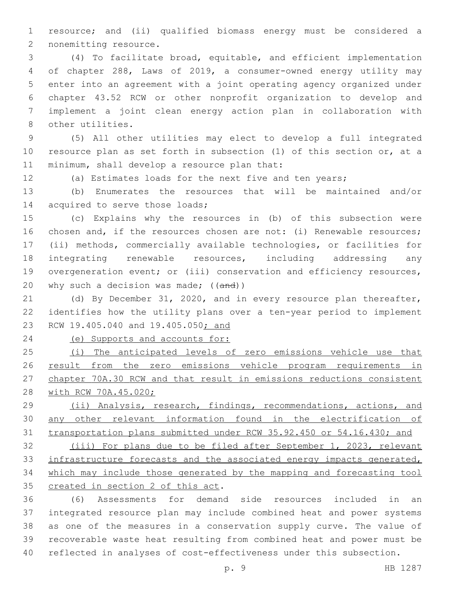resource; and (ii) qualified biomass energy must be considered a 2 nonemitting resource.

 (4) To facilitate broad, equitable, and efficient implementation of chapter 288, Laws of 2019, a consumer-owned energy utility may enter into an agreement with a joint operating agency organized under chapter 43.52 RCW or other nonprofit organization to develop and implement a joint clean energy action plan in collaboration with 8 other utilities.

 (5) All other utilities may elect to develop a full integrated resource plan as set forth in subsection (1) of this section or, at a 11 minimum, shall develop a resource plan that:

(a) Estimates loads for the next five and ten years;

 (b) Enumerates the resources that will be maintained and/or 14 acquired to serve those loads;

 (c) Explains why the resources in (b) of this subsection were chosen and, if the resources chosen are not: (i) Renewable resources; (ii) methods, commercially available technologies, or facilities for integrating renewable resources, including addressing any 19 overgeneration event; or (iii) conservation and efficiency resources, 20 why such a decision was made; ((and))

 (d) By December 31, 2020, and in every resource plan thereafter, identifies how the utility plans over a ten-year period to implement RCW 19.405.040 and 19.405.050; and

(e) Supports and accounts for:

 (i) The anticipated levels of zero emissions vehicle use that result from the zero emissions vehicle program requirements in chapter 70A.30 RCW and that result in emissions reductions consistent 28 with RCW 70A.45.020;

 (ii) Analysis, research, findings, recommendations, actions, and any other relevant information found in the electrification of transportation plans submitted under RCW 35.92.450 or 54.16.430; and

 (iii) For plans due to be filed after September 1, 2023, relevant infrastructure forecasts and the associated energy impacts generated, which may include those generated by the mapping and forecasting tool 35 created in section 2 of this act.

 (6) Assessments for demand side resources included in an integrated resource plan may include combined heat and power systems as one of the measures in a conservation supply curve. The value of recoverable waste heat resulting from combined heat and power must be reflected in analyses of cost-effectiveness under this subsection.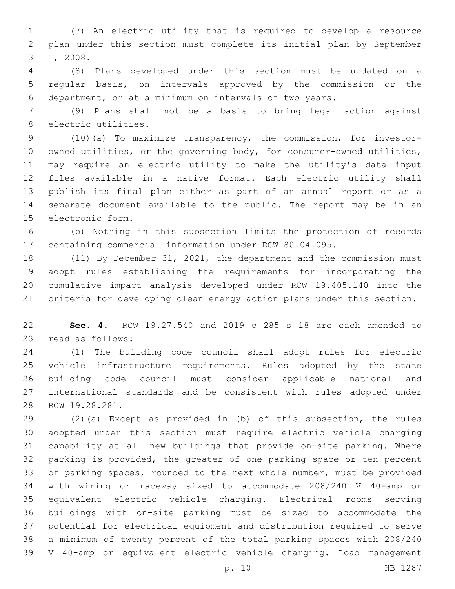(7) An electric utility that is required to develop a resource plan under this section must complete its initial plan by September 3 1, 2008.

 (8) Plans developed under this section must be updated on a regular basis, on intervals approved by the commission or the department, or at a minimum on intervals of two years.

 (9) Plans shall not be a basis to bring legal action against 8 electric utilities.

 (10)(a) To maximize transparency, the commission, for investor- owned utilities, or the governing body, for consumer-owned utilities, may require an electric utility to make the utility's data input files available in a native format. Each electric utility shall publish its final plan either as part of an annual report or as a separate document available to the public. The report may be in an 15 electronic form.

 (b) Nothing in this subsection limits the protection of records containing commercial information under RCW 80.04.095.

 (11) By December 31, 2021, the department and the commission must adopt rules establishing the requirements for incorporating the cumulative impact analysis developed under RCW 19.405.140 into the criteria for developing clean energy action plans under this section.

 **Sec. 4.** RCW 19.27.540 and 2019 c 285 s 18 are each amended to 23 read as follows:

 (1) The building code council shall adopt rules for electric vehicle infrastructure requirements. Rules adopted by the state building code council must consider applicable national and international standards and be consistent with rules adopted under 28 RCW 19.28.281.

 (2)(a) Except as provided in (b) of this subsection, the rules adopted under this section must require electric vehicle charging capability at all new buildings that provide on-site parking. Where parking is provided, the greater of one parking space or ten percent of parking spaces, rounded to the next whole number, must be provided with wiring or raceway sized to accommodate 208/240 V 40-amp or equivalent electric vehicle charging. Electrical rooms serving buildings with on-site parking must be sized to accommodate the potential for electrical equipment and distribution required to serve a minimum of twenty percent of the total parking spaces with 208/240 V 40-amp or equivalent electric vehicle charging. Load management